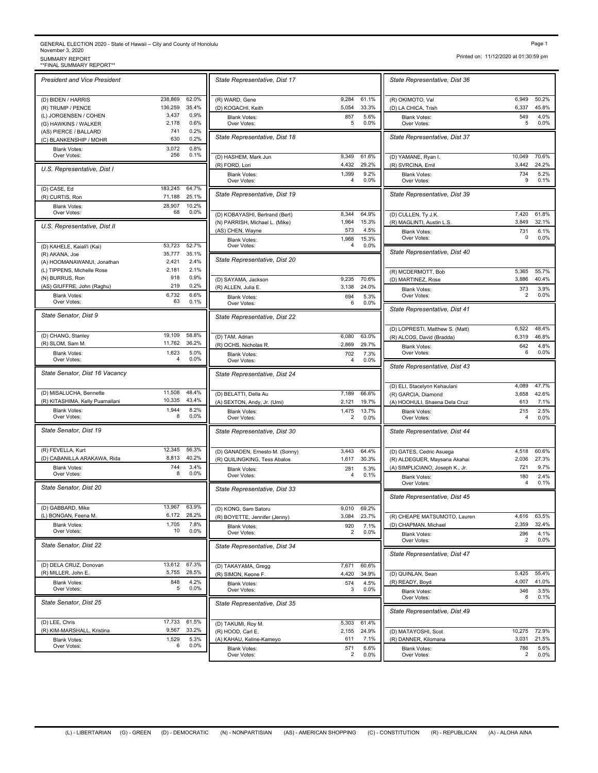## GENERAL ELECTION 2020 - State of Hawaii – City and County of Honolulu November 3, 2020<br>SUMMARY REPORT<br>\*\*FINAL SUMMARY REPORT Page 1<br>November 3, 2020<br>SUMMARY REPORT<br>\*\*FINAL SUMMARY REPORT\*\*<br>\*\*FINAL SUMMARY REPORT\*\*

(L) BONOAN, Feena M.

Over Votes:

*State Senator, Dist 22*

*State Senator, Dist 25*

(D) GABBARD, Mike 13,967 63.9%<br>
(L) BONOAN, Feena M. 6,172 28.2%

(D) DELA CRUZ, Donovan 13,612 67.3% (R) MILLER, John E. 5,755 28.5% Blank Votes: 848<br>Over Votes: 5

(D) LEE, Chris 17,733 61.5% (R) KIM-MARSHALL, Kristina 9,567 33.2%

| <b>SUMMARY REPORT</b><br>** FINAL SUMMARY REPORT** |                    |                |                                    |
|----------------------------------------------------|--------------------|----------------|------------------------------------|
| <b>President and Vice President</b>                |                    |                | State Representative, Dist 17      |
| (D) BIDEN / HARRIS                                 | 238,869<br>136,259 | 62.0%<br>35.4% | (R) WARD, Gene                     |
| (R) TRUMP / PENCE<br>(L) JORGENSEN / COHEN         | 3,437              | 0.9%           | (D) KOGACHI, Keith                 |
| (G) HAWKINS / WALKER                               | 2,178              | 0.6%           | <b>Blank Votes:</b><br>Over Votes: |
| (AS) PIERCE / BALLARD                              | 741                | 0.2%           |                                    |
| (C) BLANKENSHIP / MOHR                             | 630                | 0.2%           | State Representative, Dist 18      |
| <b>Blank Votes:</b>                                | 3,072              | 0.8%           |                                    |
| Over Votes:                                        | 256                | 0.1%           | (D) HASHEM, Mark Jun               |
| U.S. Representative, Dist I                        |                    |                | (R) FORD, Lori                     |
|                                                    |                    |                | <b>Blank Votes:</b><br>Over Votes: |
| (D) CASE, Ed                                       | 183,245            | 64.7%          |                                    |
| (R) CURTIS, Ron                                    | 71,188             | 25.1%          | State Representative, Dist 19      |
| <b>Blank Votes:</b>                                | 28,907             | 10.2%          |                                    |
| Over Votes:                                        | 68                 | 0.0%           | (D) KOBAYASHI, Bertrand (Bert)     |
| U.S. Representative, Dist II                       |                    |                | (N) PARRISH, Michael L. (Mike)     |
|                                                    |                    |                | (AS) CHEN, Wayne                   |
|                                                    |                    |                | <b>Blank Votes:</b>                |
| (D) KAHELE, Kaiali'i (Kai)                         | 53,723             | 52.7%          | Over Votes:                        |
| (R) AKANA, Joe                                     | 35,777             | 35.1%          | State Representative, Dist 20      |
| (A) HOOMANAWANUI, Jonathan                         | 2,421              | 2.4%           |                                    |
| (L) TIPPENS, Michelle Rose                         | 2,181<br>918       | 2.1%<br>0.9%   |                                    |
| (N) BURRUS, Ron                                    | 219                | 0.2%           | (D) SAYAMA, Jackson                |
| (AS) GIUFFRE, John (Raghu)                         |                    |                | (R) ALLEN, Julia E.                |
| <b>Blank Votes:</b><br>Over Votes:                 | 6,732<br>63        | 6.6%<br>0.1%   | <b>Blank Votes:</b><br>Over Votes: |
| State Senator, Dist 9                              |                    |                | State Representative, Dist 22      |
| (D) CHANG, Stanley                                 | 19,109             | 58.8%          | (D) TAM, Adrian                    |
| (R) SLOM, Sam M.                                   | 11,762             | 36.2%          | (R) OCHS, Nicholas R.              |
| <b>Blank Votes:</b>                                | 1,623              | 5.0%           | <b>Blank Votes:</b>                |
| Over Votes:                                        | 4                  | 0.0%           | Over Votes:                        |
| State Senator, Dist 16 Vacancy                     |                    |                | State Representative, Dist 24      |
| (D) MISALUCHA, Bennette                            | 11,508             | 48.4%          | (D) BELATTI, Della Au              |
| (R) KITASHIMA, Kelly Puamailani                    | 10,335             | 43.4%          | (A) SEXTON, Andy, Jr. (Umi)        |
| <b>Blank Votes:</b>                                | 1,944              | 8.2%           | <b>Blank Votes:</b>                |
| Over Votes:                                        | 8                  | 0.0%           | Over Votes:                        |
| State Senator, Dist 19                             |                    |                | State Representative, Dist 30      |
| (R) FEVELLA, Kurt                                  | 12,345             | 56.3%          | (D) GANADEN, Ernesto M. (Sonny     |
| (D) CABANILLA ARAKAWA, Rida                        | 8,813              | 40.2%          | (R) QUILINGKING, Tess Abalos       |
| <b>Blank Votes:</b><br>Over Votes:                 | 744<br>8           | 3.4%<br>0.0%   | <b>Blank Votes:</b><br>Over Votes: |
| State Senator, Dist 20                             |                    |                | State Representative, Dist 33.     |

| <b>IDEN / HARRIS</b>                  | 238,869          | 62.0%         | (R) WARD, Gene                                       | 9,284          | 61.1%          | (R) OKIMOTO, Val                                     |
|---------------------------------------|------------------|---------------|------------------------------------------------------|----------------|----------------|------------------------------------------------------|
| RUMP / PENCE                          | 136,259          | 35.4%         | (D) KOGACHI, Keith                                   | 5,054          | 33.3%          | (D) LA CHICA, Trish                                  |
| <b>DRGENSEN / COHEN</b>               | 3,437            | 0.9%          | <b>Blank Votes:</b>                                  | 857            | 5.6%           | <b>Blank Votes:</b>                                  |
| <b>IAWKINS / WALKER</b>               | 2,178            | 0.6%          | Over Votes:                                          | 5              | 0.0%           | Over Votes:                                          |
| PIERCE / BALLARD<br>LANKENSHIP / MOHR | 741<br>630       | 0.2%<br>0.2%  | State Representative, Dist 18                        |                |                | State Representative, Dist 3                         |
| <b>Blank Votes:</b>                   | 3,072            | 0.8%          |                                                      |                |                |                                                      |
| Over Votes:                           | 256              | 0.1%          | (D) HASHEM, Mark Jun<br>(R) FORD, Lori               | 9,349<br>4,432 | 61.6%<br>29.2% | (D) YAMANE, Ryan I.<br>(R) SVRCINA, Emil             |
| Representative, Dist I                |                  |               | <b>Blank Votes:</b><br>Over Votes:                   | 1,399<br>4     | 9.2%<br>0.0%   | <b>Blank Votes:</b><br>Over Votes:                   |
| ASE, Ed                               | 183,245          | 64.7%         |                                                      |                |                |                                                      |
| URTIS, Ron                            | 71,188<br>28.907 | 25.1%         | State Representative, Dist 19                        |                |                | State Representative, Dist 3                         |
| <b>Blank Votes:</b><br>Over Votes:    | 68               | 10.2%<br>0.0% | (D) KOBAYASHI, Bertrand (Bert)                       | 8,344          | 64.9%          | (D) CULLEN, Ty J.K.                                  |
|                                       |                  |               | (N) PARRISH, Michael L. (Mike)                       | 1,964          | 15.3%          | (R) MAGLINTI, Austin L.S.                            |
| Representative, Dist II               |                  |               | (AS) CHEN, Wayne                                     | 573            | 4.5%           | <b>Blank Votes:</b>                                  |
| AHELE, Kaiali'i (Kai)                 | 53,723           | 52.7%         | <b>Blank Votes:</b><br>Over Votes:                   | 1,968<br>4     | 15.3%<br>0.0%  | Over Votes:                                          |
| KANA, Joe                             | 35,777           | 35.1%         |                                                      |                |                | State Representative, Dist 4                         |
| OOMANAWANUI, Jonathan                 | 2,421            | 2.4%          | State Representative, Dist 20                        |                |                |                                                      |
| PPENS, Michelle Rose                  | 2,181            | 2.1%          |                                                      |                |                |                                                      |
| URRUS, Ron                            | 918              | 0.9%          |                                                      |                | 70.6%          | (R) MCDERMOTT, Bob                                   |
| GIUFFRE, John (Raghu)                 | 219              | 0.2%          | (D) SAYAMA, Jackson<br>(R) ALLEN, Julia E.           | 9,235<br>3,138 | 24.0%          | (D) MARTINEZ, Rose                                   |
| <b>Blank Votes:</b>                   | 6,732            | 6.6%          | <b>Blank Votes:</b>                                  | 694            | 5.3%           | <b>Blank Votes:</b><br>Over Votes:                   |
| Over Votes:                           | 63               | 0.1%          | Over Votes:                                          | 6              | 0.0%           | State Representative, Dist 4                         |
| e Senator, Dist 9                     |                  |               | State Representative, Dist 22                        |                |                |                                                      |
|                                       |                  |               |                                                      |                |                | (D) LOPRESTI, Matthew S. (Ma                         |
| HANG, Stanley                         | 19,109           | 58.8%         | (D) TAM, Adrian                                      | 6,080          | 63.0%          | (R) ALCOS, David (Bradda)                            |
| LOM, Sam M.                           | 11,762<br>1,623  | 36.2%<br>5.0% | (R) OCHS, Nicholas R.                                | 2,869          | 29.7%          | <b>Blank Votes:</b><br>Over Votes:                   |
| <b>Blank Votes:</b><br>Over Votes:    | 4                | 0.0%          | <b>Blank Votes:</b><br>Over Votes:                   | 702<br>4       | 7.3%<br>0.0%   |                                                      |
| e Senator, Dist 16 Vacancy            |                  |               | State Representative, Dist 24                        |                |                | State Representative, Dist 4                         |
| IISALUCHA, Bennette                   | 11,508           | 48.4%         |                                                      | 7,189          | 66.6%          | (D) ELI, Stacelynn Kehaulani                         |
| ITASHIMA, Kelly Puamailani            | 10,335           | 43.4%         | (D) BELATTI, Della Au<br>(A) SEXTON, Andy, Jr. (Umi) | 2,121          | 19.7%          | (R) GARCIA, Diamond<br>(A) HOOHULI, Shaena Dela Cru  |
| <b>Blank Votes:</b><br>Over Votes:    | 1,944<br>8       | 8.2%<br>0.0%  | <b>Blank Votes:</b>                                  | 1,475          | 13.7%          | <b>Blank Votes:</b>                                  |
|                                       |                  |               | Over Votes:                                          | $\overline{2}$ | 0.0%           | Over Votes:                                          |
| e Senator, Dist 19                    |                  |               | State Representative, Dist 30                        |                |                | State Representative, Dist 4                         |
| EVELLA, Kurt                          | 12,345           | 56.3%         | (D) GANADEN, Ernesto M. (Sonny)                      | 3,443          | 64.4%          | (D) GATES, Cedric Asuega                             |
| ABANILLA ARAKAWA, Rida                | 8,813            | 40.2%         | (R) QUILINGKING, Tess Abalos                         | 1,617          | 30.3%          | (R) ALDEGUER, Maysana Akah                           |
| <b>Blank Votes:</b><br>Over Votes:    | 744<br>8         | 3.4%<br>0.0%  | <b>Blank Votes:</b><br>Over Votes:                   | 281<br>4       | 5.3%<br>0.1%   | (A) SIMPLICIANO, Joseph K., J<br><b>Blank Votes:</b> |
| e Senator, Dist 20                    |                  |               | State Representative, Dist 33                        |                |                | Over Votes:                                          |
|                                       |                  |               |                                                      |                |                | State Representative, Dist 4                         |
| ABBARD, Mike                          | 13,967           | 63.9%         | (D) KONG, Sam Satoru                                 | 9,010          | 69.2%          |                                                      |
| ONOAN, Feena M.                       | 6,172            | 28.2%         | (R) BOYETTE, Jennifer (Jenny)                        | 3,084          | 23.7%          | (R) CHEAPE MATSUMOTO, La                             |
| <b>Blank Votes:</b><br>Over Votes:    | 1,705<br>10      | 7.8%<br>0.0%  | <b>Blank Votes:</b><br>Over Votes:                   | 920<br>2       | 7.1%<br>0.0%   | (D) CHAPMAN, Michael<br><b>Blank Votes:</b>          |
| e Senator, Dist 22                    |                  |               | State Representative, Dist 34                        |                |                | Over Votes:                                          |
|                                       |                  |               |                                                      |                |                | State Representative, Dist 4                         |
| ELA CRUZ, Donovan                     | 13,612           | 67.3%         | (D) TAKAYAMA, Gregg                                  | 7,671          | 60.6%          |                                                      |
| IILLER, John E.                       | 5,755            | 28.5%         | (R) SIMON, Keone F                                   | 4,420          | 34.9%          | (D) QUINLAN, Sean                                    |
| <b>Blank Votes:</b>                   | 848              | 4.2%          | <b>Blank Votes:</b>                                  | 574            | 4.5%           | (R) READY, Boyd                                      |
| Over Votes:                           | 5                | 0.0%          | Over Votes:                                          | 3              | 0.0%           | <b>Blank Votes:</b><br>Over Votes:                   |
| e Senator, Dist 25                    |                  |               | State Representative, Dist 35                        |                |                | State Representative, Dist 4                         |
| EE, Chris                             | 17,733           | 61.5%         | (D) TAKUMI, Roy M.                                   | 5,303          | 61.4%          |                                                      |
| IM-MARSHALL, Kristina                 | 9,567            | 33.2%         | (R) HOOD, Carl E.                                    | 2,155          | 24.9%          | (D) MATAYOSHI, Scot                                  |
| <b>Blank Votes:</b>                   | 1,529            | 5.3%          | (A) KAHAU, Keline-Kameyo                             | 611            | 7.1%           | (R) DANNER, Kilomana                                 |
| Over Votes:                           | 6                | 0.0%          | <b>Blank Votes:</b><br>Over Votes:                   | 571<br>2       | 6.6%<br>0.0%   | <b>Blank Votes:</b><br>Over Votes:                   |
|                                       |                  |               |                                                      |                |                |                                                      |

and the control of the control of

Printed on: 11/12/2020 at 01:30:59 pm

| State Representative, Dist 36                                |                   |                       |
|--------------------------------------------------------------|-------------------|-----------------------|
| (R) OKIMOTO, Val<br>(D) LA CHICA, Trish                      | 6.949<br>6,337    | 50.2%<br>45.8%        |
| <b>Blank Votes:</b><br>Over Votes:                           | 549<br>5          | 4.0%<br>0.0%          |
| State Representative, Dist 37                                |                   |                       |
| (D) YAMANE, Ryan I.                                          | 10,049<br>3,442   | 70.6%<br>24.2%        |
| (R) SVRCINA, Emil<br>Blank Votes:<br>Over Votes:             | 734<br>9          | 5.2%<br>0.1%          |
| State Representative, Dist 39                                |                   |                       |
| (D) CULLEN, Ty J.K.<br>(R) MAGLINTI, Austin L.S.             | 7,420<br>3,849    | 61.8%<br>32.1%        |
| <b>Blank Votes:</b><br>Over Votes:                           | 731<br>0          | 6.1%<br>$0.0\%$       |
| State Representative, Dist 40                                |                   |                       |
| (R) MCDERMOTT, Bob<br>(D) MARTINEZ, Rose                     | 5,365<br>3,886    | 55.7%<br>40.4%        |
| <b>Blank Votes:</b><br>Over Votes:                           | 373<br>2          | 3.9%<br>0.0%          |
| State Representative, Dist 41                                |                   |                       |
| (D) LOPRESTI, Matthew S. (Matt)<br>(R) ALCOS, David (Bradda) | 6,522<br>6,319    | 48.4%<br>46.8%        |
| <b>Blank Votes:</b><br>Over Votes:                           | 642<br>6          | 4.8%<br>0.0%          |
| State Representative, Dist 43                                |                   |                       |
| (D) ELI, Stacelynn Kehaulani<br>(R) GARCIA, Diamond          | 4,089<br>3,658    | 47.7%<br>42.6%        |
| (A) HOOHULI, Shaena Dela Cruz<br><b>Blank Votes:</b>         | 613<br>215        | 7.1%<br>2.5%          |
| Over Votes:<br>State Representative, Dist 44                 | 4                 | 0.0%                  |
|                                                              |                   |                       |
| (D) GATES, Cedric Asuega<br>(R) ALDEGUER, Maysana Akahai     | 4,518<br>2,036    | 60.6%<br>27.3%        |
| (A) SIMPLICIANO, Joseph K., Jr.<br><b>Blank Votes:</b>       | 721<br>180        | 9.7%<br>2.4%          |
| Over Votes:<br>State Representative, Dist 45                 | 4                 | 0.1%                  |
| (R) CHEAPE MATSUMOTO, Lauren                                 | 4,616             | 63.5%                 |
| (D) CHAPMAN, Michael<br><b>Blank Votes:</b>                  | 2,359<br>296<br>2 | 32.4%<br>4.1%<br>0.0% |
| Over Votes:<br>State Representative, Dist 47                 |                   |                       |
| (D) QUINLAN, Sean                                            | 5,425             | 55.4%                 |
| (R) READY, Boyd<br><b>Blank Votes:</b><br>Over Votes:        | 4,007<br>346<br>6 | 41.0%<br>3.5%<br>0.1% |
| State Representative, Dist 49                                |                   |                       |
| (D) MATAYOSHI, Scot                                          | 10,275            | 72.9%                 |
| (R) DANNER, Kilomana<br><b>Blank Votes:</b>                  | 3,031<br>786      | 21.5%<br>5.6%         |
| Over Votes:                                                  | 2                 | 0.0%                  |